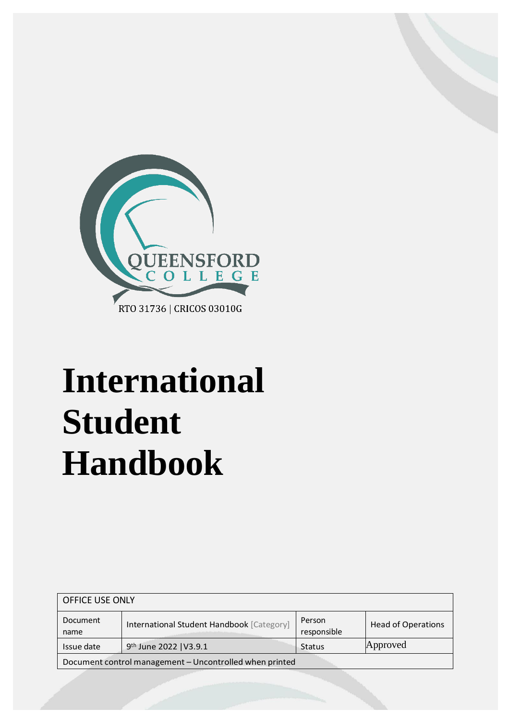

# **International Student Handbook**

| <b>OFFICE USE ONLY</b>                                  |                                           |                       |                    |
|---------------------------------------------------------|-------------------------------------------|-----------------------|--------------------|
| Document<br>name                                        | International Student Handbook [Category] | Person<br>responsible | Head of Operations |
| Issue date                                              | 9 <sup>th</sup> June 2022   V3.9.1        | <b>Status</b>         | Approved           |
| Document control management - Uncontrolled when printed |                                           |                       |                    |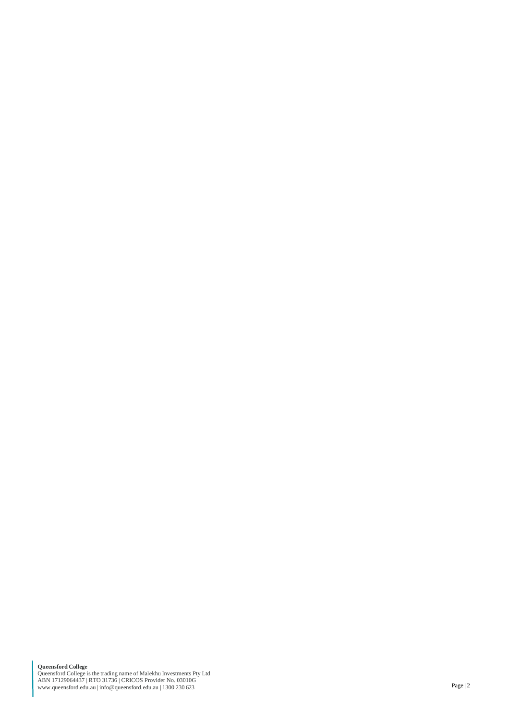# **Queensford College** Queensford College is the trading name of Malekhu Investments Pty Ltd<br>ABN 17129064437 | RTO 31736 | CRICOS Provider No. 03010G<br>[www.queensford.edu.au](http://www.queensford.edu.au/) | [info@queensford.edu.au](mailto:info@queensford.edu.au) | 1300 230 623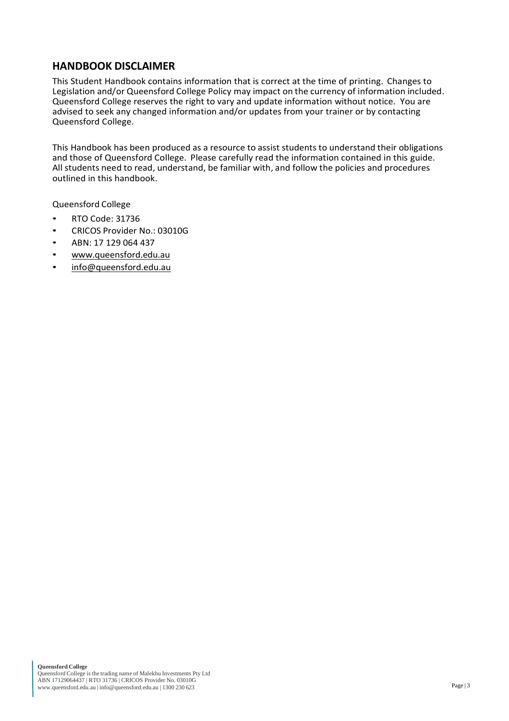#### <span id="page-2-0"></span>**HANDBOOK DISCLAIMER**

This Student Handbook contains information that is correct at the time of printing. Changes to Legislation and/or Queensford College Policy may impact on the currency of information included. Queensford College reserves the right to vary and update information without notice. You are advised to seek any changed information and/or updates from your trainer or by contacting Queensford College.

This Handbook has been produced as a resource to assist students to understand their obligations and those of Queensford College. Please carefully read the information contained in this guide. All students need to read, understand, be familiar with, and follow the policies and procedures outlined in this handbook.

Queensford College

- RTO Code: 31736
- CRICOS Provider No.: 03010G
- ABN: 17 129 064 437
- [www.queensford.edu.au](http://www.queensford.edu.au/)
- [info@queensford.edu.au](mailto:info@queensford.edu.au)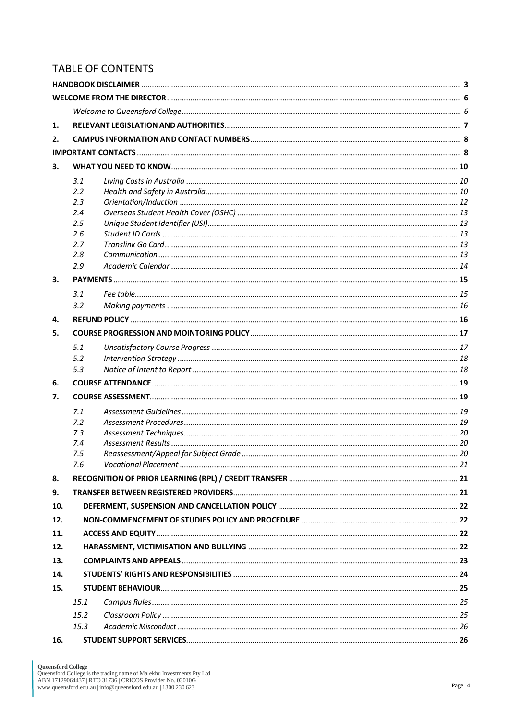# **TABLE OF CONTENTS**

| 1.  |      |  |
|-----|------|--|
| 2.  |      |  |
|     |      |  |
| З.  |      |  |
|     | 3.1  |  |
|     | 2.2  |  |
|     | 2.3  |  |
|     | 2.4  |  |
|     | 2.5  |  |
|     | 2.6  |  |
|     | 2.7  |  |
|     | 2.8  |  |
|     | 2.9  |  |
| З.  |      |  |
|     | 3.1  |  |
|     | 3.2  |  |
| 4.  |      |  |
| 5.  |      |  |
|     | 5.1  |  |
|     | 5.2  |  |
|     | 5.3  |  |
| 6.  |      |  |
| 7.  |      |  |
|     | 7.1  |  |
|     | 7.2  |  |
|     | 7.3  |  |
|     | 7.4  |  |
|     | 7.5  |  |
|     | 7.6  |  |
| 8.  |      |  |
| 9.  |      |  |
| 10. |      |  |
| 12. |      |  |
| 11. |      |  |
| 12. |      |  |
| 13. |      |  |
| 14. |      |  |
| 15. |      |  |
|     | 15.1 |  |
|     | 15.2 |  |
|     | 15.3 |  |
| 16. |      |  |
|     |      |  |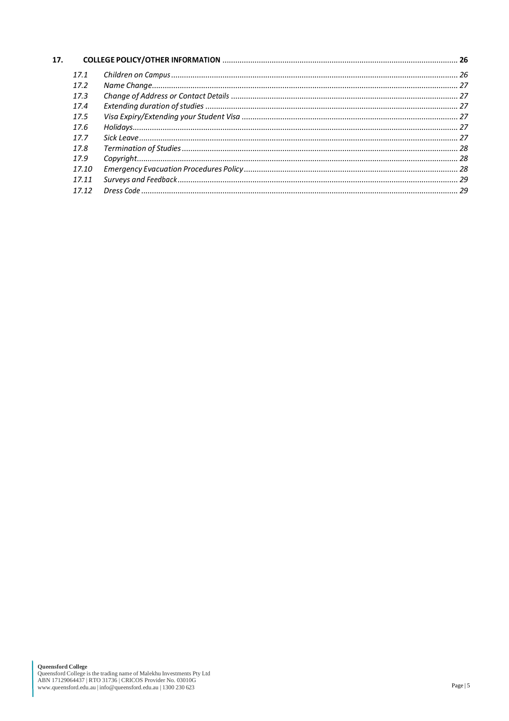| 17. |       |               |  |
|-----|-------|---------------|--|
|     | 17.1  |               |  |
|     | 17.2  |               |  |
|     | 17.3  |               |  |
|     | 17.4  |               |  |
|     | 17.5  |               |  |
|     | 17.6  |               |  |
|     | 17.7  |               |  |
|     | 17.8  |               |  |
|     | 17.9  | Copyright  28 |  |
|     | 17.10 |               |  |
|     | 17.11 |               |  |
|     | 1712  |               |  |
|     |       |               |  |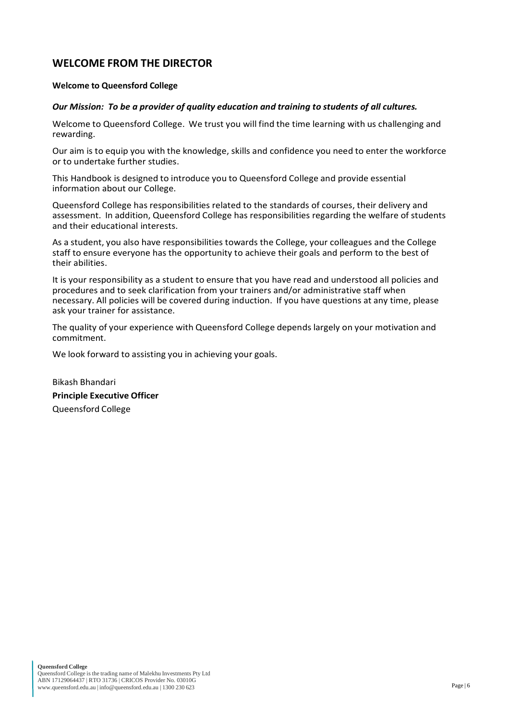## <span id="page-5-0"></span>**WELCOME FROM THE DIRECTOR**

#### <span id="page-5-1"></span>**Welcome to Queensford College**

#### *Our Mission: To be a provider of quality education and training to students of all cultures.*

Welcome to Queensford College. We trust you will find the time learning with us challenging and rewarding.

Our aim is to equip you with the knowledge, skills and confidence you need to enter the workforce or to undertake further studies.

This Handbook is designed to introduce you to Queensford College and provide essential information about our College.

Queensford College has responsibilities related to the standards of courses, their delivery and assessment. In addition, Queensford College has responsibilities regarding the welfare of students and their educational interests.

As a student, you also have responsibilities towards the College, your colleagues and the College staff to ensure everyone has the opportunity to achieve their goals and perform to the best of their abilities.

It is your responsibility as a student to ensure that you have read and understood all policies and procedures and to seek clarification from your trainers and/or administrative staff when necessary. All policies will be covered during induction. If you have questions at any time, please ask your trainer for assistance.

The quality of your experience with Queensford College depends largely on your motivation and commitment.

We look forward to assisting you in achieving your goals.

Bikash Bhandari **Principle Executive Officer** Queensford College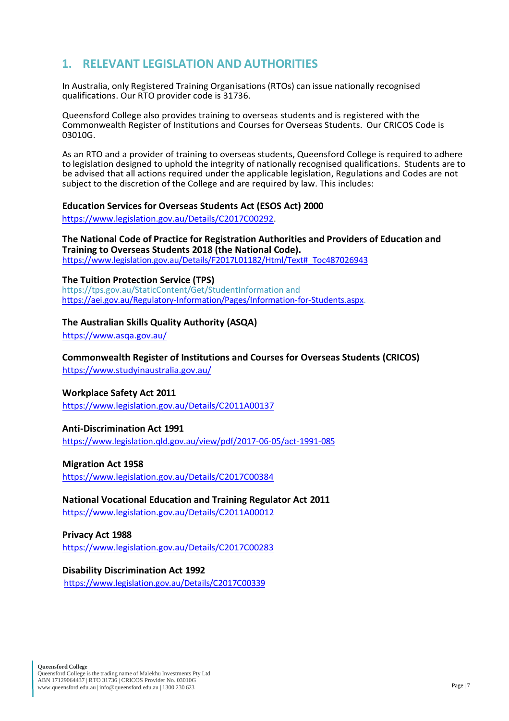# <span id="page-6-0"></span>**1. RELEVANT LEGISLATION AND AUTHORITIES**

In Australia, only Registered Training Organisations (RTOs) can issue nationally recognised qualifications. Our RTO provider code is 31736.

Queensford College also provides training to overseas students and is registered with the Commonwealth Register of Institutions and Courses for Overseas Students. Our CRICOS Code is 03010G.

As an RTO and a provider of training to overseas students, Queensford College is required to adhere to legislation designed to uphold the integrity of nationally recognised qualifications. Students are to be advised that all actions required under the applicable legislation, Regulations and Codes are not subject to the discretion of the College and are required by law. This includes:

#### **Education Services for Overseas Students Act (ESOS Act) 2000**

https:/[/www.legislation.gov.au/Details/C2017C00292.](http://www.legislation.gov.au/Details/C2017C00292)

**The National Code of Practice for Registration Authorities and Providers of Education and Training to Overseas Students 2018 (the National Code).**  https:/[/www.legislation.gov.au/Details/F2017L01182/Html/Text#\\_Toc487026943](http://www.legislation.gov.au/Details/F2017L01182/Html/Text#_Toc487026943)

#### **The Tuition Protection Service (TPS)**

https://tps.gov.au/StaticContent/Get/StudentInformation and https://aei.gov.au/Regulatory-Information/Pages/Information-for-Students.aspx.

#### **The Australian Skills Quality Authority (ASQA)**

https:/[/www.asqa.gov.au/](http://www.asqa.gov.au/)

**Commonwealth Register of Institutions and Courses for Overseas Students (CRICOS)** https:/[/www.studyinaustralia.gov.au/](http://www.studyinaustralia.gov.au/)

#### **Workplace Safety Act 2011**

https:/[/www.legislation.gov.au/Details/C2011A00137](http://www.legislation.gov.au/Details/C2011A00137)

#### **Anti-Discrimination Act 1991**

https:/[/www.legislation.qld.gov.au/view/pdf/2017-06-05/act-1991-085](http://www.legislation.qld.gov.au/view/pdf/2017-06-05/act-1991-085)

#### **Migration Act 1958**

https:/[/www.legislation.gov.au/Details/C2017C00384](http://www.legislation.gov.au/Details/C2017C00384)

# **National Vocational Education and Training Regulator Act 2011**

https:/[/www.legislation.gov.au/Details/C2011A00012](http://www.legislation.gov.au/Details/C2011A00012)

#### **Privacy Act 1988**

https:/[/www.legislation.gov.au/Details/C2017C00283](http://www.legislation.gov.au/Details/C2017C00283)

#### **Disability Discrimination Act 1992**

[https://ww](http://www.legislation.gov.au/Details/C2017C00339)w.leg[islation.gov.au/Details/C2017C00339](http://www.legislation.gov.au/Details/C2017C00339)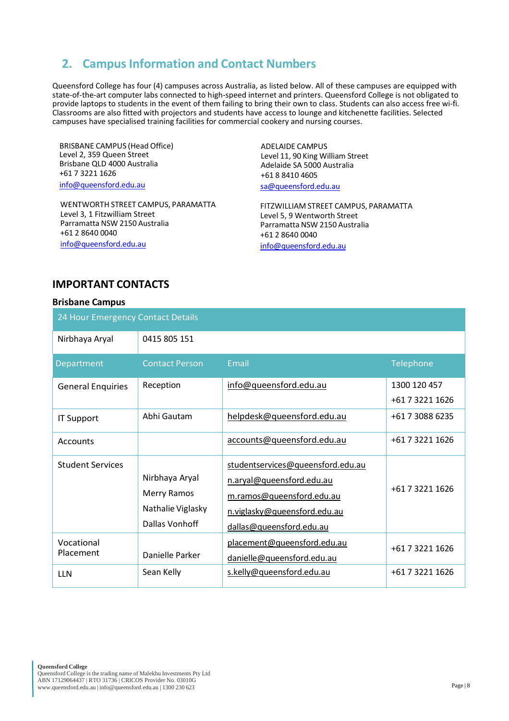# <span id="page-7-0"></span>**2. Campus Information and Contact Numbers**

Queensford College has four (4) campuses across Australia, as listed below. All of these campuses are equipped with state-of-the-art computer labs connected to high-speed internet and printers. Queensford College is not obligated to provide laptops to students in the event of them failing to bring their own to class. Students can also access free wi-fi. Classrooms are also fitted with projectors and students have access to lounge and kitchenette facilities. Selected campuses have specialised training facilities for commercial cookery and nursing courses.

BRISBANE CAMPUS (Head Office) Level 2, 359 Queen Street Brisbane QLD 4000 Australia +61 7 3221 1626 [info@queensford.edu.au](mailto:info@queensford.edu.au)

WENTWORTH STREET CAMPUS, PARAMATTA Level 3, 1 Fitzwilliam Street Parramatta NSW 2150 Australia +61 2 8640 0040 [info@queensford.edu.au](mailto:info@queensford.edu.au)

ADELAIDE CAMPUS Level 11, 90 King William Street Adelaide SA 5000 Australia +61 8 8410 4605

[sa@queensford.edu.au](mailto:sa@queensford.edu.au)

FITZWILLIAM STREET CAMPUS, PARAMATTA Level 5, 9 Wentworth Street Parramatta NSW 2150 Australia +61 2 8640 0040 [info@queensford.edu.au](mailto:info@queensford.edu.au)

#### <span id="page-7-1"></span>**IMPORTANT CONTACTS**

#### **Brisbane Campus**

| 24 Hour Emergency Contact Details |                                                                      |                                                                                                                                                         |                                 |
|-----------------------------------|----------------------------------------------------------------------|---------------------------------------------------------------------------------------------------------------------------------------------------------|---------------------------------|
| Nirbhaya Aryal                    | 0415 805 151                                                         |                                                                                                                                                         |                                 |
| Department                        | <b>Contact Person</b>                                                | <b>Email</b>                                                                                                                                            | Telephone                       |
| <b>General Enquiries</b>          | Reception                                                            | info@queensford.edu.au                                                                                                                                  | 1300 120 457<br>+61 7 3221 1626 |
| <b>IT Support</b>                 | Abhi Gautam                                                          | helpdesk@queensford.edu.au                                                                                                                              | +61 7 3088 6235                 |
| <b>Accounts</b>                   |                                                                      | accounts@queensford.edu.au                                                                                                                              | +61 7 3221 1626                 |
| <b>Student Services</b>           | Nirbhaya Aryal<br>Merry Ramos<br>Nathalie Viglasky<br>Dallas Vonhoff | studentservices@queensford.edu.au<br>n.aryal@queensford.edu.au<br>m.ramos@queensford.edu.au<br>n.viglasky@queensford.edu.au<br>dallas@queensford.edu.au | +61 7 3221 1626                 |
| Vocational<br>Placement           | Danielle Parker                                                      | placement@queensford.edu.au<br>danielle@queensford.edu.au                                                                                               | +61 7 3221 1626                 |
| <b>LLN</b>                        | Sean Kelly                                                           | s.kelly@queensford.edu.au                                                                                                                               | +61 7 3221 1626                 |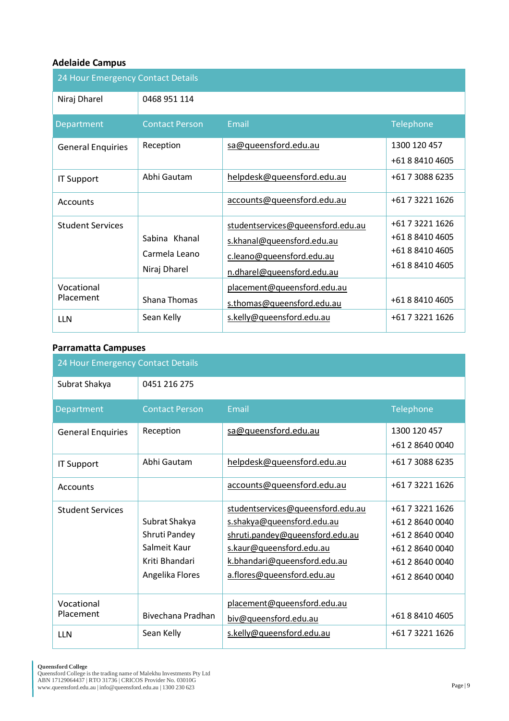#### **Adelaide Campus**

| 24 Hour Emergency Contact Details |                       |                                   |                 |
|-----------------------------------|-----------------------|-----------------------------------|-----------------|
| Niraj Dharel                      | 0468 951 114          |                                   |                 |
| Department                        | <b>Contact Person</b> | <b>Email</b>                      | Telephone       |
| <b>General Enquiries</b>          | Reception             | sa@queensford.edu.au              | 1300 120 457    |
|                                   |                       |                                   | +61 8 8410 4605 |
| <b>IT Support</b>                 | Abhi Gautam           | helpdesk@queensford.edu.au        | +61 7 3088 6235 |
| Accounts                          |                       | accounts@queensford.edu.au        | +61 7 3221 1626 |
| <b>Student Services</b>           |                       | studentservices@queensford.edu.au | +61 7 3221 1626 |
|                                   | Sabina Khanal         | s.khanal@queensford.edu.au        | +61 8 8410 4605 |
|                                   | Carmela Leano         | c.leano@queensford.edu.au         | +61 8 8410 4605 |
|                                   | Niraj Dharel          | n.dharel@queensford.edu.au        | +61 8 8410 4605 |
| Vocational                        |                       | placement@queensford.edu.au       |                 |
| Placement                         | Shana Thomas          | s.thomas@queensford.edu.au        | +61 8 8410 4605 |
| LLN                               | Sean Kelly            | s.kelly@queensford.edu.au         | +61 7 3221 1626 |

#### **Parramatta Campuses**

| 24 Hour Emergency Contact Details |                       |                                   |                 |
|-----------------------------------|-----------------------|-----------------------------------|-----------------|
| Subrat Shakya                     | 0451 216 275          |                                   |                 |
| Department                        | <b>Contact Person</b> | <b>Email</b>                      | Telephone       |
| <b>General Enquiries</b>          | Reception             | sa@queensford.edu.au              | 1300 120 457    |
|                                   |                       |                                   | +61 2 8640 0040 |
| <b>IT Support</b>                 | Abhi Gautam           | helpdesk@queensford.edu.au        | +61 7 3088 6235 |
| <b>Accounts</b>                   |                       | accounts@queensford.edu.au        | +61 7 3221 1626 |
| <b>Student Services</b>           |                       | studentservices@queensford.edu.au | +61 7 3221 1626 |
|                                   | Subrat Shakya         | s.shakya@queensford.edu.au        | +61 2 8640 0040 |
|                                   | Shruti Pandey         | shruti.pandey@queensford.edu.au   | +61 2 8640 0040 |
|                                   | Salmeit Kaur          | s.kaur@queensford.edu.au          | +61 2 8640 0040 |
|                                   | Kriti Bhandari        | k.bhandari@queensford.edu.au      | +61 2 8640 0040 |
|                                   | Angelika Flores       | a.flores@queensford.edu.au        | +61 2 8640 0040 |
| Vocational                        |                       | placement@queensford.edu.au       |                 |
| Placement                         | Bivechana Pradhan     | biv@queensford.edu.au             | +61 8 8410 4605 |
| <b>LLN</b>                        | Sean Kelly            | s.kelly@queensford.edu.au         | +61 7 3221 1626 |

#### **Queensford College**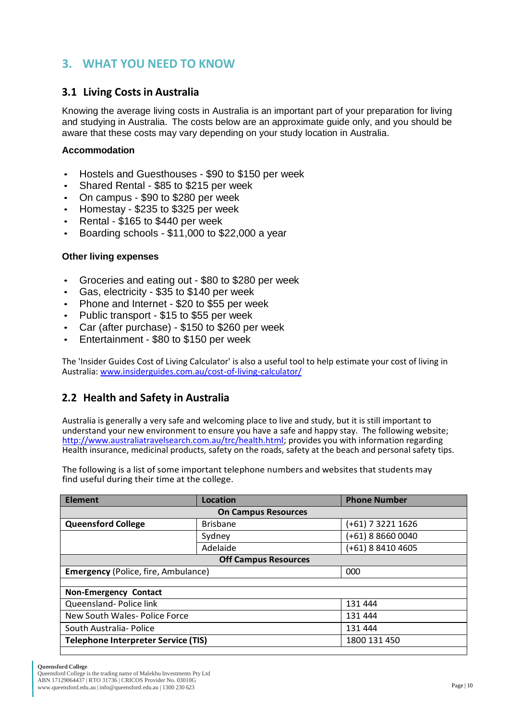# <span id="page-9-0"></span>**3. WHAT YOU NEED TO KNOW**

## <span id="page-9-1"></span>**3.1 Living Costs in Australia**

Knowing the average living costs in Australia is an important part of your preparation for living and studying in Australia. The costs below are an approximate guide only, and you should be aware that these costs may vary depending on your study location in Australia.

#### **Accommodation**

- Hostels and Guesthouses \$90 to \$150 per week
- Shared Rental \$85 to \$215 per week
- On campus \$90 to \$280 per week
- Homestay \$235 to \$325 per week
- Rental \$165 to \$440 per week
- Boarding schools \$11,000 to \$22,000 a year

#### **Other living expenses**

- Groceries and eating out \$80 to \$280 per week
- Gas, electricity \$35 to \$140 per week
- Phone and Internet \$20 to \$55 per week
- Public transport \$15 to \$55 per week
- Car (after purchase) \$150 to \$260 per week
- Entertainment \$80 to \$150 per week

The 'Insider Guides Cost of Living Calculator' is also a useful tool to help estimate your cost of living in Australia: [www.insiderguides.com.au/cost-of-living-calculator/](http://www.insiderguides.com.au/cost-of-living-calculator/)

## <span id="page-9-2"></span>**2.2 Health and Safety in Australia**

Australia is generally a very safe and welcoming place to live and study, but it is still important to understand your new environment to ensure you have a safe and happy stay. The following website; [http://www.australiatravelsearch.com.au/trc/health.html; p](http://www.australiatravelsearch.com.au/trc/health.html%3B)rovides you with information regarding Health insurance, medicinal products, safety on the roads, safety at the beach and personal safety tips.

The following is a list of some important telephone numbers and websites that students may find useful during their time at the college.

| <b>Element</b>                             | <b>Location</b>            | <b>Phone Number</b> |  |
|--------------------------------------------|----------------------------|---------------------|--|
|                                            | <b>On Campus Resources</b> |                     |  |
| <b>Queensford College</b>                  | <b>Brisbane</b>            | $(+61)$ 7 3221 1626 |  |
|                                            | Sydney                     | $(+61)$ 8 8660 0040 |  |
|                                            | Adelaide                   | $(+61)$ 8 8410 4605 |  |
| <b>Off Campus Resources</b>                |                            |                     |  |
| <b>Emergency</b> (Police, fire, Ambulance) |                            | 000                 |  |
|                                            |                            |                     |  |
| <b>Non-Emergency Contact</b>               |                            |                     |  |
| Queensland-Police link                     |                            | 131 444             |  |
| New South Wales- Police Force              |                            | 131 444             |  |
| South Australia- Police                    |                            | 131 444             |  |
| <b>Telephone Interpreter Service (TIS)</b> | 1800 131 450               |                     |  |
|                                            |                            |                     |  |

**Queensford College**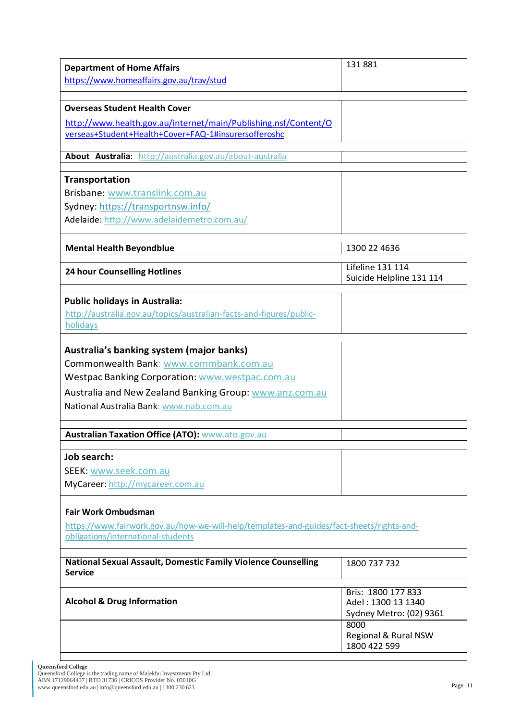| <b>Department of Home Affairs</b>                                                         | 131881                                              |
|-------------------------------------------------------------------------------------------|-----------------------------------------------------|
| https://www.homeaffairs.gov.au/trav/stud                                                  |                                                     |
|                                                                                           |                                                     |
| <b>Overseas Student Health Cover</b>                                                      |                                                     |
| http://www.health.gov.au/internet/main/Publishing.nsf/Content/O                           |                                                     |
| verseas+Student+Health+Cover+FAQ-1#insurersofferoshc                                      |                                                     |
|                                                                                           |                                                     |
| About Australia: http://australia.gov.au/about-australia                                  |                                                     |
| <b>Transportation</b>                                                                     |                                                     |
| Brisbane: www.translink.com.au                                                            |                                                     |
| Sydney: https://transportnsw.info/                                                        |                                                     |
| Adelaide: http://www.adelaidemetro.com.au/                                                |                                                     |
|                                                                                           |                                                     |
| <b>Mental Health Beyondblue</b>                                                           | 1300 22 4636                                        |
|                                                                                           |                                                     |
| <b>24 hour Counselling Hotlines</b>                                                       | <b>Lifeline 131 114</b><br>Suicide Helpline 131 114 |
| <b>Public holidays in Australia:</b>                                                      |                                                     |
| http://australia.gov.au/topics/australian-facts-and-figures/public-                       |                                                     |
| holidays                                                                                  |                                                     |
|                                                                                           |                                                     |
| Australia's banking system (major banks)                                                  |                                                     |
| Commonwealth Bank: www.commbank.com.au                                                    |                                                     |
| <b>Westpac Banking Corporation: www.westpac.com.au</b>                                    |                                                     |
| Australia and New Zealand Banking Group: www.anz.com.au                                   |                                                     |
| National Australia Bank: www.nab.com.au                                                   |                                                     |
|                                                                                           |                                                     |
| Australian Taxation Office (ATO): www.ato.gov.au                                          |                                                     |
|                                                                                           |                                                     |
| Job search:                                                                               |                                                     |
| SEEK: www.seek.com.au                                                                     |                                                     |
| MyCareer: http://mycareer.com.au                                                          |                                                     |
|                                                                                           |                                                     |
| <b>Fair Work Ombudsman</b>                                                                |                                                     |
| https://www.fairwork.gov.au/how-we-will-help/templates-and-guides/fact-sheets/rights-and- |                                                     |
| obligations/international-students                                                        |                                                     |
|                                                                                           |                                                     |
| <b>National Sexual Assault, Domestic Family Violence Counselling</b><br><b>Service</b>    | 1800 737 732                                        |
|                                                                                           | Bris: 1800 177 833                                  |
| <b>Alcohol &amp; Drug Information</b>                                                     | Adel: 1300 13 1340                                  |
|                                                                                           | Sydney Metro: (02) 9361                             |
|                                                                                           | 8000                                                |
|                                                                                           | Regional & Rural NSW<br>1800 422 599                |
|                                                                                           |                                                     |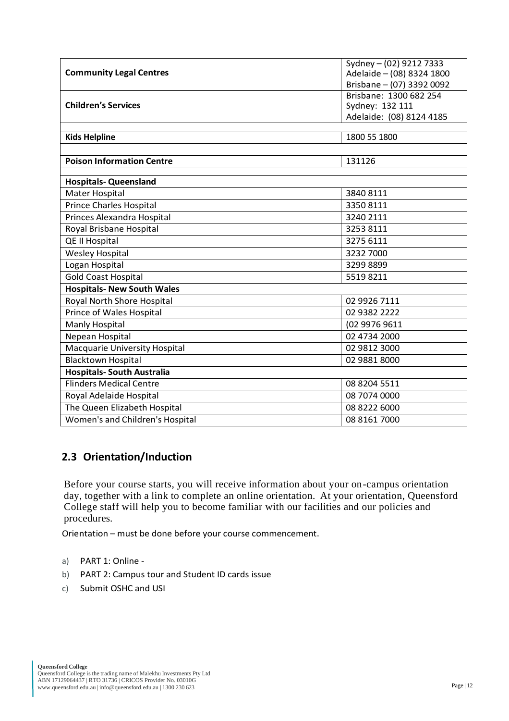| <b>Community Legal Centres</b>    | Sydney - (02) 9212 7333<br>Adelaide - (08) 8324 1800 |
|-----------------------------------|------------------------------------------------------|
|                                   | Brisbane - (07) 3392 0092                            |
|                                   | Brisbane: 1300 682 254                               |
| <b>Children's Services</b>        | Sydney: 132 111                                      |
|                                   | Adelaide: (08) 8124 4185                             |
| <b>Kids Helpline</b>              | 1800 55 1800                                         |
|                                   |                                                      |
| <b>Poison Information Centre</b>  | 131126                                               |
|                                   |                                                      |
| <b>Hospitals- Queensland</b>      |                                                      |
| Mater Hospital                    | 3840 8111                                            |
| <b>Prince Charles Hospital</b>    | 33508111                                             |
| Princes Alexandra Hospital        | 3240 2111                                            |
| Royal Brisbane Hospital           | 32538111                                             |
| QE II Hospital                    | 3275 6111                                            |
| <b>Wesley Hospital</b>            | 3232 7000                                            |
| Logan Hospital                    | 32998899                                             |
| <b>Gold Coast Hospital</b>        | 55198211                                             |
| <b>Hospitals- New South Wales</b> |                                                      |
| Royal North Shore Hospital        | 02 9926 7111                                         |
| <b>Prince of Wales Hospital</b>   | 02 9382 2222                                         |
| Manly Hospital                    | (02 9976 9611                                        |
| Nepean Hospital                   | 02 4734 2000                                         |
| Macquarie University Hospital     | 02 9812 3000                                         |
| <b>Blacktown Hospital</b>         | 02 9881 8000                                         |
| <b>Hospitals- South Australia</b> |                                                      |
| <b>Flinders Medical Centre</b>    | 08 8204 5511                                         |
| Royal Adelaide Hospital           | 08 7074 0000                                         |
| The Queen Elizabeth Hospital      | 08 8222 6000                                         |
| Women's and Children's Hospital   | 08 8161 7000                                         |

# <span id="page-11-0"></span>**2.3 Orientation/Induction**

Before your course starts, you will receive information about your on-campus orientation day, together with a link to complete an online orientation. At your orientation, Queensford College staff will help you to become familiar with our facilities and our policies and procedures.

Orientation – must be done before your course commencement.

- a) PART 1: Online -
- b) PART 2: Campus tour and Student ID cards issue
- c) Submit OSHC and USI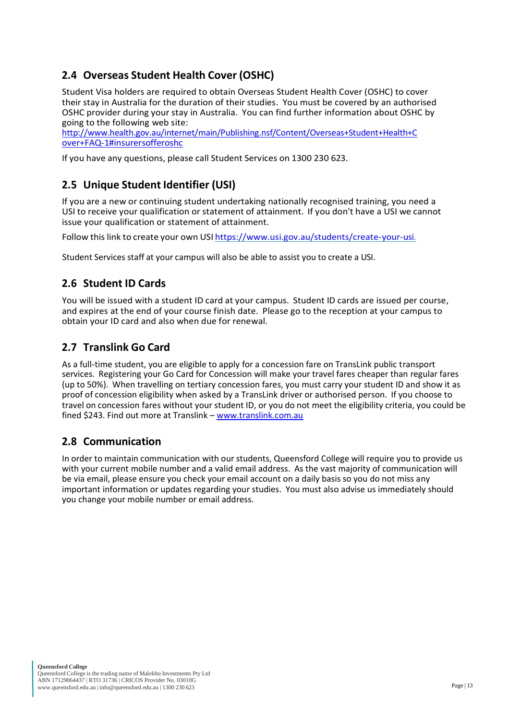# <span id="page-12-0"></span>**2.4 Overseas Student Health Cover (OSHC)**

Student Visa holders are required to obtain Overseas Student Health Cover (OSHC) to cover their stay in Australia for the duration of their studies. You must be covered by an authorised OSHC provider during your stay in Australia. You can find further information about OSHC by going to the following web site:

[http://www.health.gov.au/internet/main/Publishing.nsf/Content/Overseas+Student+Health+C](http://www.health.gov.au/internet/main/Publishing.nsf/Content/Overseas%2BStudent%2BHealth%2BC)  over+FAQ-1#insurersofferoshc

If you have any questions, please call Student Services on 1300 230 623.

# <span id="page-12-1"></span>**2.5 Unique Student Identifier (USI)**

If you are a new or continuing student undertaking nationally recognised training, you need a USI to receive your qualification or statement of attainment. If you don't have a USI we cannot issue your qualification or statement of attainment.

Follow this link to create your own USI https:/[/www.usi.gov.au/students/create-your-usi.](http://www.usi.gov.au/students/create-your-usi)

Student Services staff at your campus will also be able to assist you to create a USI.

## <span id="page-12-2"></span>**2.6 Student ID Cards**

You will be issued with a student ID card at your campus. Student ID cards are issued per course, and expires at the end of your course finish date. Please go to the reception at your campus to obtain your ID card and also when due for renewal.

## <span id="page-12-3"></span>**2.7 Translink Go Card**

As a full-time student, you are eligible to apply for a concession fare on TransLink public transport services. Registering your Go Card for Concession will make your travel fares cheaper than regular fares (up to 50%). When travelling on tertiary concession fares, you must carry your student ID and show it as proof of concession eligibility when asked by a TransLink driver or authorised person. If you choose to travel on concession fares without your student ID, or you do not meet the eligibility criteria, you could be fined \$243. Find out more at Translink – [www.translink.com.au](http://www.translink.com.au/)

## <span id="page-12-4"></span>**2.8 Communication**

In order to maintain communication with our students, Queensford College will require you to provide us with your current mobile number and a valid email address. As the vast majority of communication will be via email, please ensure you check your email account on a daily basis so you do not miss any important information or updates regarding your studies. You must also advise us immediately should you change your mobile number or email address.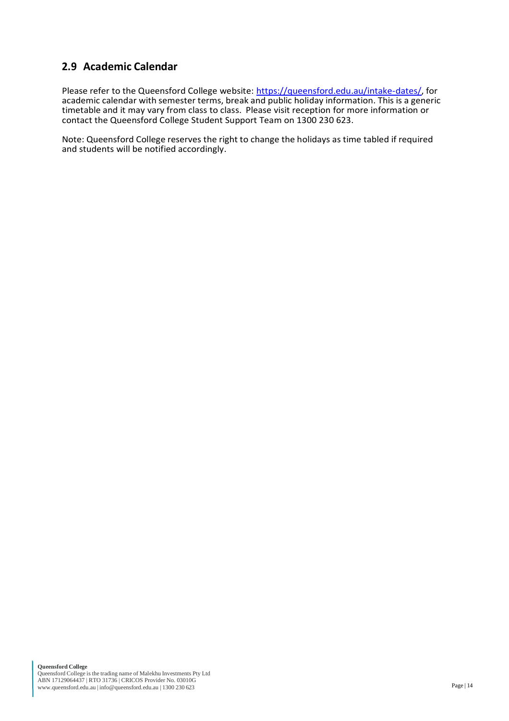## <span id="page-13-0"></span>**2.9 Academic Calendar**

Please refer to the Queensford College website: https://queensford.edu.au/intake-dates/, for academic calendar with semester terms, break and public holiday information. This is a generic timetable and it may vary from class to class. Please visit reception for more information or contact the Queensford College Student Support Team on 1300 230 623.

Note: Queensford College reserves the right to change the holidays as time tabled if required and students will be notified accordingly.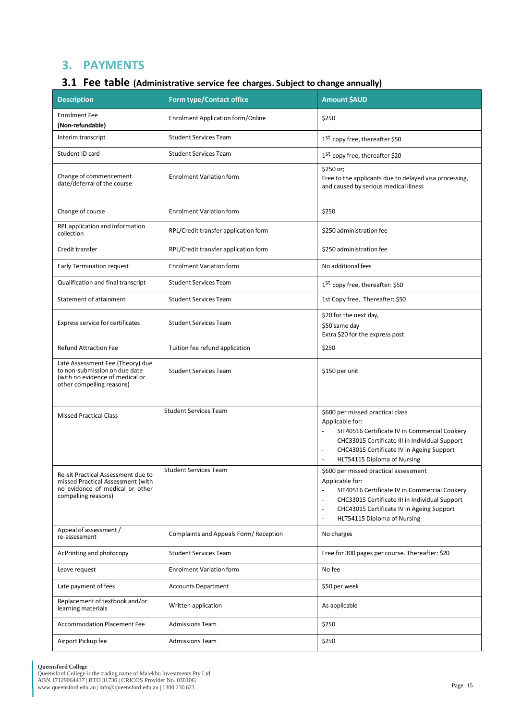# <span id="page-14-0"></span>**3. PAYMENTS**

# **3.1 Fee table (Administrative service fee charges. Subject to change annually)**

| <b>Description</b>                                                                                                                | <b>Form type/Contact office</b>       | <b>Amount \$AUD</b>                                                                                                                                                                                                                                                                             |
|-----------------------------------------------------------------------------------------------------------------------------------|---------------------------------------|-------------------------------------------------------------------------------------------------------------------------------------------------------------------------------------------------------------------------------------------------------------------------------------------------|
| <b>Enrolment Fee</b><br>(Non-refundable)                                                                                          | Enrolment Application form/Online     | \$250                                                                                                                                                                                                                                                                                           |
| Interim transcript                                                                                                                | <b>Student Services Team</b>          | 1 <sup>st</sup> copy free, thereafter \$50                                                                                                                                                                                                                                                      |
| Student ID card                                                                                                                   | <b>Student Services Team</b>          | 1 <sup>st</sup> copy free, thereafter \$20                                                                                                                                                                                                                                                      |
| Change of commencement<br>date/deferral of the course                                                                             | <b>Enrolment Variation form</b>       | \$250 or;<br>Free to the applicants due to delayed visa processing,<br>and caused by serious medical illness                                                                                                                                                                                    |
| Change of course                                                                                                                  | <b>Enrolment Variation form</b>       | \$250                                                                                                                                                                                                                                                                                           |
| RPL application and information<br>collection                                                                                     | RPL/Credit transfer application form  | \$250 administration fee                                                                                                                                                                                                                                                                        |
| Credit transfer                                                                                                                   | RPL/Credit transfer application form  | \$250 administration fee                                                                                                                                                                                                                                                                        |
| <b>Early Termination request</b>                                                                                                  | <b>Enrolment Variation form</b>       | No additional fees                                                                                                                                                                                                                                                                              |
| Qualification and final transcript                                                                                                | <b>Student Services Team</b>          | 1 <sup>st</sup> copy free, thereafter: \$50                                                                                                                                                                                                                                                     |
| Statement of attainment                                                                                                           | <b>Student Services Team</b>          | 1st Copy free. Thereafter: \$50                                                                                                                                                                                                                                                                 |
| <b>Express service for certificates</b>                                                                                           | <b>Student Services Team</b>          | \$20 for the next day,<br>\$50 same day<br>Extra \$20 for the express post                                                                                                                                                                                                                      |
| <b>Refund Attraction Fee</b>                                                                                                      | Tuition fee refund application        | \$250                                                                                                                                                                                                                                                                                           |
| Late Assessment Fee (Theory) due<br>to non-submission on due date<br>(with no evidence of medical or<br>other compelling reasons) | <b>Student Services Team</b>          | \$150 per unit                                                                                                                                                                                                                                                                                  |
| <b>Missed Practical Class</b>                                                                                                     | <b>Student Services Team</b>          | \$600 per missed practical class<br>Applicable for:<br>SIT40516 Certificate IV in Commercial Cookery<br>CHC33015 Certificate III in Individual Support<br>$\overline{\phantom{a}}$<br>CHC43015 Certificate IV in Ageing Support<br>HLT54115 Diploma of Nursing                                  |
| Re-sit Practical Assessment due to<br>missed Practical Assessment (with<br>no evidence of medical or other<br>compelling reasons) | <b>Student Services Team</b>          | \$600 per missed practical assessment<br>Applicable for:<br>SIT40516 Certificate IV in Commercial Cookery<br>CHC33015 Certificate III in Individual Support<br>$\overline{\phantom{a}}$<br>CHC43015 Certificate IV in Ageing Support<br>$\overline{\phantom{m}}$<br>HLT54115 Diploma of Nursing |
| Appeal of assessment /<br>re-assessment                                                                                           | Complaints and Appeals Form/Reception | No charges                                                                                                                                                                                                                                                                                      |
| AcPrinting and photocopy                                                                                                          | <b>Student Services Team</b>          | Free for 300 pages per course. Thereafter: \$20                                                                                                                                                                                                                                                 |
| Leave request                                                                                                                     | <b>Enrolment Variation form</b>       | No fee                                                                                                                                                                                                                                                                                          |
| Late payment of fees                                                                                                              | <b>Accounts Department</b>            | \$50 per week                                                                                                                                                                                                                                                                                   |
| Replacement of textbook and/or<br>learning materials                                                                              | Written application                   | As applicable                                                                                                                                                                                                                                                                                   |
| <b>Accommodation Placement Fee</b>                                                                                                | <b>Admissions Team</b>                | \$250                                                                                                                                                                                                                                                                                           |
| Airport Pickup fee                                                                                                                | <b>Admissions Team</b>                | \$250                                                                                                                                                                                                                                                                                           |

#### **Queensford College**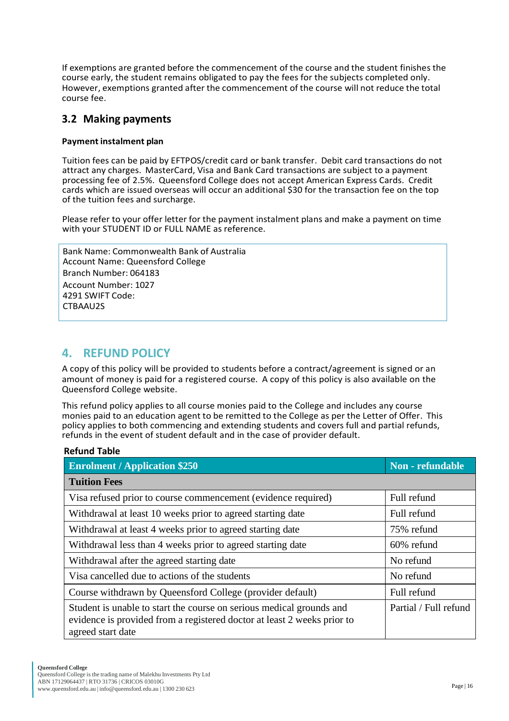If exemptions are granted before the commencement of the course and the student finishes the course early, the student remains obligated to pay the fees for the subjects completed only. However, exemptions granted after the commencement of the course will not reduce the total course fee.

## <span id="page-15-0"></span>**3.2 Making payments**

#### **Payment instalment plan**

Tuition fees can be paid by EFTPOS/credit card or bank transfer. Debit card transactions do not attract any charges. MasterCard, Visa and Bank Card transactions are subject to a payment processing fee of 2.5%. Queensford College does not accept American Express Cards. Credit cards which are issued overseas will occur an additional \$30 for the transaction fee on the top of the tuition fees and surcharge.

Please refer to your offer letter for the payment instalment plans and make a payment on time with your STUDENT ID or FULL NAME as reference.

| Bank Name: Commonwealth Bank of Australia |
|-------------------------------------------|
| Account Name: Queensford College          |
| Branch Number: 064183                     |
| Account Number: 1027                      |
| 4291 SWIFT Code:                          |
| CTBAAU2S                                  |

# <span id="page-15-1"></span>**4. REFUND POLICY**

A copy of this policy will be provided to students before a contract/agreement is signed or an amount of money is paid for a registered course. A copy of this policy is also available on the Queensford College website.

This refund policy applies to all course monies paid to the College and includes any course monies paid to an education agent to be remitted to the College as per the Letter of Offer. This policy applies to both commencing and extending students and covers full and partial refunds, refunds in the event of student default and in the case of provider default.

#### **Refund Table**

| <b>Enrolment / Application \$250</b>                                                                                                                                 | <b>Non</b> - refundable |
|----------------------------------------------------------------------------------------------------------------------------------------------------------------------|-------------------------|
| <b>Tuition Fees</b>                                                                                                                                                  |                         |
| Visa refused prior to course commencement (evidence required)                                                                                                        | Full refund             |
| Withdrawal at least 10 weeks prior to agreed starting date                                                                                                           | Full refund             |
| Withdrawal at least 4 weeks prior to agreed starting date                                                                                                            | 75% refund              |
| Withdrawal less than 4 weeks prior to agreed starting date                                                                                                           | 60% refund              |
| Withdrawal after the agreed starting date                                                                                                                            | No refund               |
| Visa cancelled due to actions of the students                                                                                                                        | No refund               |
| Course withdrawn by Queensford College (provider default)                                                                                                            | Full refund             |
| Student is unable to start the course on serious medical grounds and<br>evidence is provided from a registered doctor at least 2 weeks prior to<br>agreed start date | Partial / Full refund   |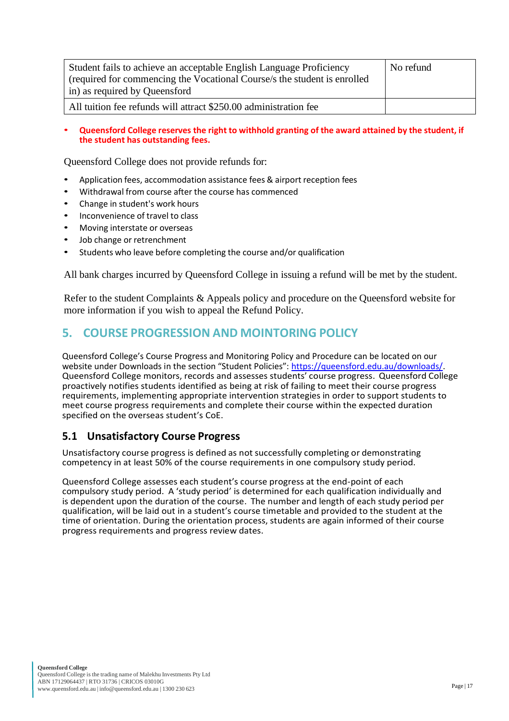| Student fails to achieve an acceptable English Language Proficiency<br>(required for commencing the Vocational Course/s the student is enrolled | No refund |
|-------------------------------------------------------------------------------------------------------------------------------------------------|-----------|
| in) as required by Queensford                                                                                                                   |           |
| All tuition fee refunds will attract \$250.00 administration fee                                                                                |           |

• **Queensford College reserves the right to withhold granting of the award attained by the student, if the student has outstanding fees.**

Queensford College does not provide refunds for:

- Application fees, accommodation assistance fees & airport reception fees
- Withdrawal from course after the course has commenced
- Change in student's work hours
- Inconvenience of travel to class
- Moving interstate or overseas
- Job change or retrenchment
- Students who leave before completing the course and/or qualification

All bank charges incurred by Queensford College in issuing a refund will be met by the student.

Refer to the student Complaints & Appeals policy and procedure on the Queensford website for more information if you wish to appeal the Refund Policy.

# <span id="page-16-0"></span>**5. COURSE PROGRESSION AND MOINTORING POLICY**

Queensford College's Course Progress and Monitoring Policy and Procedure can be located on our website under Downloads in the section "Student Policies": https://queensford.edu.au/downloads/. Queensford College monitors, records and assesses students' course progress. Queensford College proactively notifies students identified as being at risk of failing to meet their course progress requirements, implementing appropriate intervention strategies in order to support students to meet course progress requirements and complete their course within the expected duration specified on the overseas student's CoE.

# <span id="page-16-1"></span>**5.1 Unsatisfactory Course Progress**

Unsatisfactory course progress is defined as not successfully completing or demonstrating competency in at least 50% of the course requirements in one compulsory study period.

Queensford College assesses each student's course progress at the end-point of each compulsory study period. A 'study period' is determined for each qualification individually and is dependent upon the duration of the course. The number and length of each study period per qualification, will be laid out in a student's course timetable and provided to the student at the time of orientation. During the orientation process, students are again informed of their course progress requirements and progress review dates.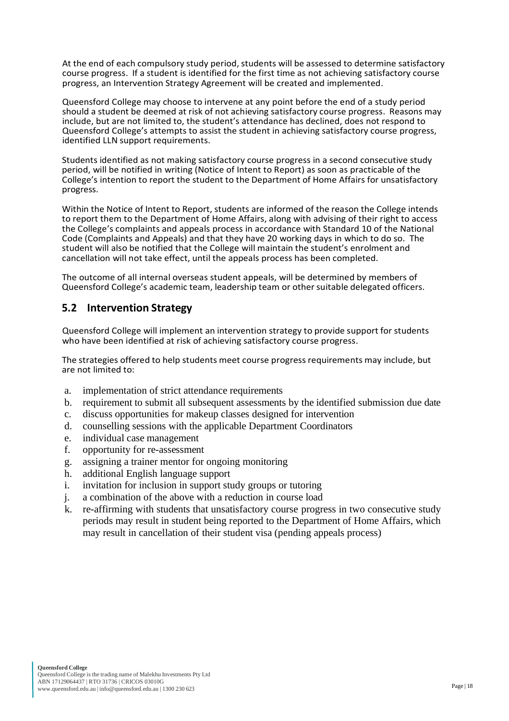At the end of each compulsory study period, students will be assessed to determine satisfactory course progress. If a student is identified for the first time as not achieving satisfactory course progress, an Intervention Strategy Agreement will be created and implemented.

Queensford College may choose to intervene at any point before the end of a study period should a student be deemed at risk of not achieving satisfactory course progress. Reasons may include, but are not limited to, the student's attendance has declined, does not respond to Queensford College's attempts to assist the student in achieving satisfactory course progress, identified LLN support requirements.

Students identified as not making satisfactory course progress in a second consecutive study period, will be notified in writing (Notice of Intent to Report) as soon as practicable of the College's intention to report the student to the Department of Home Affairs for unsatisfactory progress.

Within the Notice of Intent to Report, students are informed of the reason the College intends to report them to the Department of Home Affairs, along with advising of their right to access the College's complaints and appeals process in accordance with Standard 10 of the National Code (Complaints and Appeals) and that they have 20 working days in which to do so. The student will also be notified that the College will maintain the student's enrolment and cancellation will not take effect, until the appeals process has been completed.

The outcome of all internal overseas student appeals, will be determined by members of Queensford College's academic team, leadership team or other suitable delegated officers.

## <span id="page-17-0"></span>**5.2 Intervention Strategy**

Queensford College will implement an intervention strategy to provide support for students who have been identified at risk of achieving satisfactory course progress.

The strategies offered to help students meet course progress requirements may include, but are not limited to:

- a. implementation of strict attendance requirements
- b. requirement to submit all subsequent assessments by the identified submission due date
- c. discuss opportunities for makeup classes designed for intervention
- d. counselling sessions with the applicable Department Coordinators
- e. individual case management
- f. opportunity for re-assessment
- g. assigning a trainer mentor for ongoing monitoring
- h. additional English language support
- i. invitation for inclusion in support study groups or tutoring
- j. a combination of the above with a reduction in course load
- k. re-affirming with students that unsatisfactory course progress in two consecutive study periods may result in student being reported to the Department of Home Affairs, which may result in cancellation of their student visa (pending appeals process)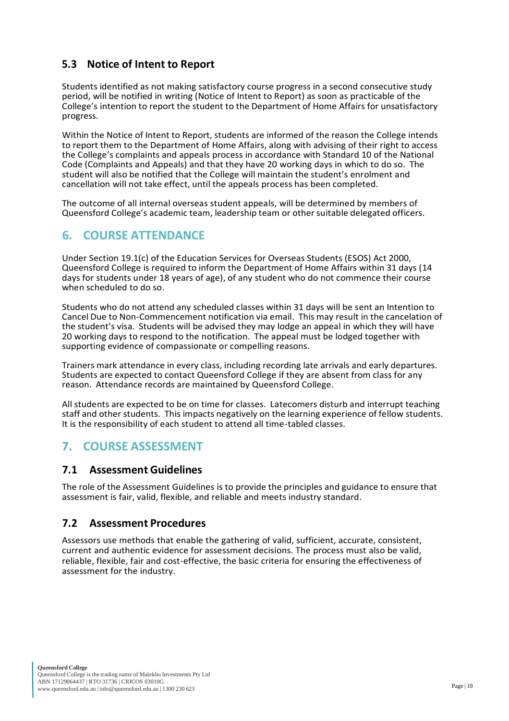# <span id="page-18-0"></span>**5.3 Notice of Intent to Report**

Students identified as not making satisfactory course progress in a second consecutive study period, will be notified in writing (Notice of Intent to Report) as soon as practicable of the College's intention to report the student to the Department of Home Affairs for unsatisfactory progress.

Within the Notice of Intent to Report, students are informed of the reason the College intends to report them to the Department of Home Affairs, along with advising of their right to access the College's complaints and appeals process in accordance with Standard 10 of the National Code (Complaints and Appeals) and that they have 20 working days in which to do so. The student will also be notified that the College will maintain the student's enrolment and cancellation will not take effect, until the appeals process has been completed.

The outcome of all internal overseas student appeals, will be determined by members of Queensford College's academic team, leadership team or other suitable delegated officers.

# <span id="page-18-1"></span>**6. COURSE ATTENDANCE**

Under Section 19.1(c) of the Education Services for Overseas Students (ESOS) Act 2000, Queensford College is required to inform the Department of Home Affairs within 31 days (14 days for students under 18 years of age), of any student who do not commence their course when scheduled to do so.

Students who do not attend any scheduled classes within 31 days will be sent an Intention to Cancel Due to Non-Commencement notification via email. This may result in the cancelation of the student's visa. Students will be advised they may lodge an appeal in which they will have 20 working days to respond to the notification. The appeal must be lodged together with supporting evidence of compassionate or compelling reasons.

Trainers mark attendance in every class, including recording late arrivals and early departures. Students are expected to contact Queensford College if they are absent from class for any reason. Attendance records are maintained by Queensford College.

All students are expected to be on time for classes. Latecomers disturb and interrupt teaching staff and other students. This impacts negatively on the learning experience of fellow students. It is the responsibility of each student to attend all time-tabled classes.

# <span id="page-18-2"></span>**7. COURSE ASSESSMENT**

## <span id="page-18-3"></span>**7.1 Assessment Guidelines**

The role of the Assessment Guidelines is to provide the principles and guidance to ensure that assessment is fair, valid, flexible, and reliable and meets industry standard.

## <span id="page-18-4"></span>**7.2 Assessment Procedures**

Assessors use methods that enable the gathering of valid, sufficient, accurate, consistent, current and authentic evidence for assessment decisions. The process must also be valid, reliable, flexible, fair and cost-effective, the basic criteria for ensuring the effectiveness of assessment for the industry.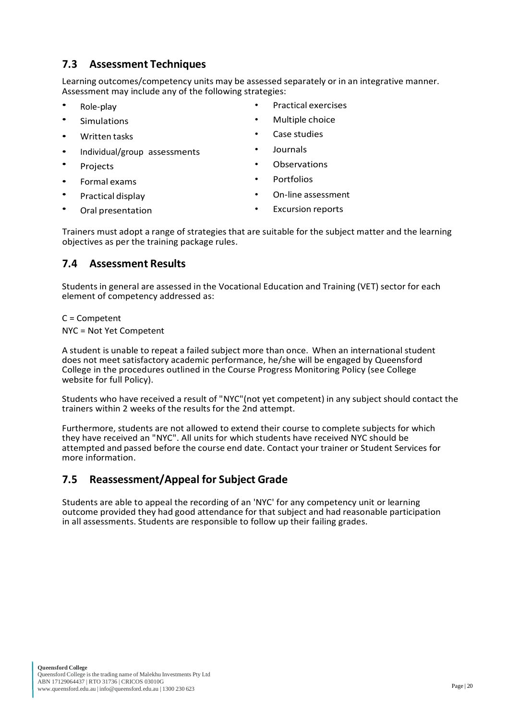# <span id="page-19-0"></span>**7.3 Assessment Techniques**

Learning outcomes/competency units may be assessed separately or in an integrative manner. Assessment may include any of the following strategies:

- 
- 
- 
- Individual/group assessments Journals
- 
- 
- 
- 
- Role-play Practical exercises
- Simulations Multiple choice
- Written tasks **•** Case studies
	-
- Projects Observations
	- Formal exams Portfolios
	- Practical display On-line assessment
	- Oral presentation Excursion reports

Trainers must adopt a range of strategies that are suitable for the subject matter and the learning objectives as per the training package rules.

#### <span id="page-19-1"></span>**7.4 Assessment Results**

Students in general are assessed in the Vocational Education and Training (VET) sector for each element of competency addressed as:

C = Competent

NYC = Not Yet Competent

A student is unable to repeat a failed subject more than once. When an international student does not meet satisfactory academic performance, he/she will be engaged by Queensford College in the procedures outlined in the Course Progress Monitoring Policy (see College website for full Policy).

Students who have received a result of "NYC"(not yet competent) in any subject should contact the trainers within 2 weeks of the results for the 2nd attempt.

Furthermore, students are not allowed to extend their course to complete subjects for which they have received an "NYC". All units for which students have received NYC should be attempted and passed before the course end date. Contact your trainer or Student Services for more information.

# <span id="page-19-2"></span>**7.5 Reassessment/Appeal for Subject Grade**

Students are able to appeal the recording of an 'NYC' for any competency unit or learning outcome provided they had good attendance for that subject and had reasonable participation in all assessments. Students are responsible to follow up their failing grades.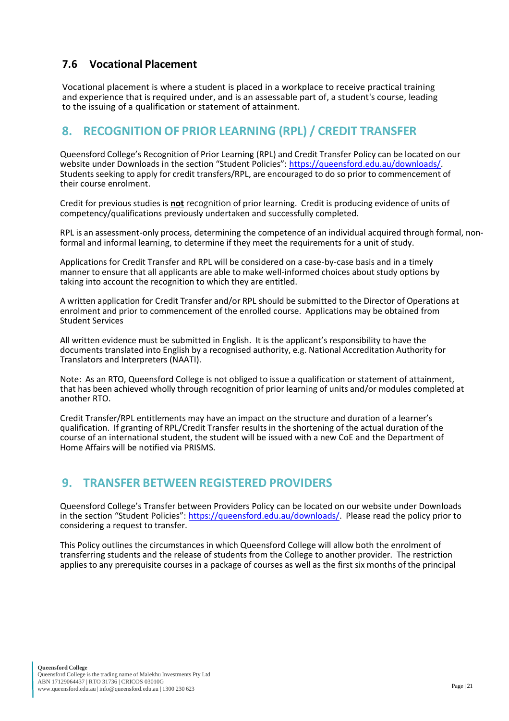## <span id="page-20-0"></span>**7.6 Vocational Placement**

Vocational placement is where a student is placed in a workplace to receive practical training and experience that is required under, and is an assessable part of, a student's course, leading to the issuing of a qualification or statement of attainment.

# <span id="page-20-1"></span>**8. RECOGNITION OF PRIOR LEARNING (RPL) / CREDIT TRANSFER**

Queensford College's Recognition of Prior Learning (RPL) and Credit Transfer Policy can be located on our website under Downloads in the section "Student Policies": https://queensford.edu.au/downloads/. Students seeking to apply for credit transfers/RPL, are encouraged to do so prior to commencement of their course enrolment.

Credit for previous studies is **not** recognition of prior learning. Credit is producing evidence of units of competency/qualifications previously undertaken and successfully completed.

RPL is an assessment-only process, determining the competence of an individual acquired through formal, nonformal and informal learning, to determine if they meet the requirements for a unit of study.

Applications for Credit Transfer and RPL will be considered on a case-by-case basis and in a timely manner to ensure that all applicants are able to make well-informed choices about study options by taking into account the recognition to which they are entitled.

A written application for Credit Transfer and/or RPL should be submitted to the Director of Operations at enrolment and prior to commencement of the enrolled course. Applications may be obtained from Student Services

All written evidence must be submitted in English. It is the applicant's responsibility to have the documents translated into English by a recognised authority, e.g. National Accreditation Authority for Translators and Interpreters (NAATI).

Note: As an RTO, Queensford College is not obliged to issue a qualification or statement of attainment, that has been achieved wholly through recognition of prior learning of units and/or modules completed at another RTO.

Credit Transfer/RPL entitlements may have an impact on the structure and duration of a learner's qualification. If granting of RPL/Credit Transfer results in the shortening of the actual duration of the course of an international student, the student will be issued with a new CoE and the Department of Home Affairs will be notified via PRISMS.

# <span id="page-20-2"></span>**9. TRANSFER BETWEEN REGISTERED PROVIDERS**

Queensford College's Transfer between Providers Policy can be located on our website under Downloads in the section "Student Policies": https://queensford.edu.au/downloads/. Please read the policy prior to considering a request to transfer.

This Policy outlines the circumstances in which Queensford College will allow both the enrolment of transferring students and the release of students from the College to another provider. The restriction applies to any prerequisite courses in a package of courses as well as the first six months of the principal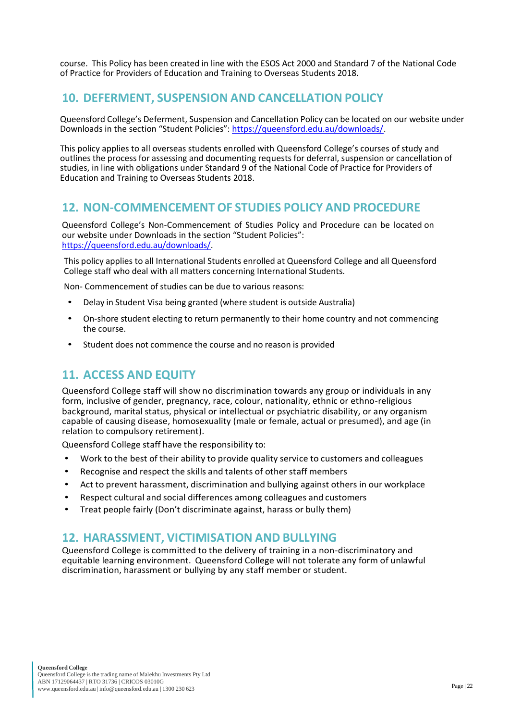course. This Policy has been created in line with the ESOS Act 2000 and Standard 7 of the National Code of Practice for Providers of Education and Training to Overseas Students 2018.

# <span id="page-21-0"></span>**10. DEFERMENT, SUSPENSION AND CANCELLATION POLICY**

Queensford College's Deferment, Suspension and Cancellation Policy can be located on our website under Downloads in the section "Student Policies": https://queensford.edu.au/downloads/.

This policy applies to all overseas students enrolled with Queensford College's courses of study and outlines the process for assessing and documenting requests for deferral, suspension or cancellation of studies, in line with obligations under Standard 9 of the National Code of Practice for Providers of Education and Training to Overseas Students 2018.

# <span id="page-21-1"></span>**12. NON-COMMENCEMENT OF STUDIES POLICY AND PROCEDURE**

Queensford College's Non-Commencement of Studies Policy and Procedure can be located on our website under Downloads in the section "Student Policies": https://queensford.edu.au/downloads/.

This policy applies to all International Students enrolled at Queensford College and all Queensford College staff who deal with all matters concerning International Students.

Non- Commencement of studies can be due to various reasons:

- Delay in Student Visa being granted (where student is outside Australia)
- On-shore student electing to return permanently to their home country and not commencing the course.
- Student does not commence the course and no reason is provided

# <span id="page-21-2"></span>**11. ACCESS AND EQUITY**

Queensford College staff will show no discrimination towards any group or individuals in any form, inclusive of gender, pregnancy, race, colour, nationality, ethnic or ethno-religious background, marital status, physical or intellectual or psychiatric disability, or any organism capable of causing disease, homosexuality (male or female, actual or presumed), and age (in relation to compulsory retirement).

Queensford College staff have the responsibility to:

- Work to the best of their ability to provide quality service to customers and colleagues
- Recognise and respect the skills and talents of other staff members
- Act to prevent harassment, discrimination and bullying against others in our workplace
- Respect cultural and social differences among colleagues and customers
- Treat people fairly (Don't discriminate against, harass or bully them)

# <span id="page-21-3"></span>**12. HARASSMENT, VICTIMISATION AND BULLYING**

Queensford College is committed to the delivery of training in a non-discriminatory and equitable learning environment. Queensford College will not tolerate any form of unlawful discrimination, harassment or bullying by any staff member or student.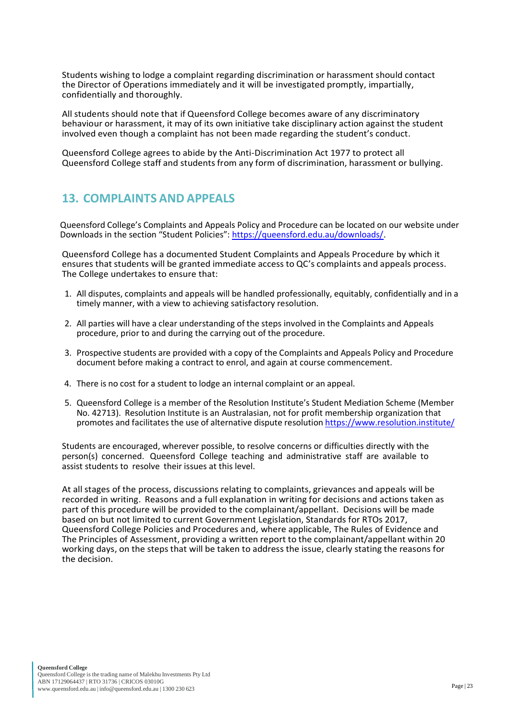Students wishing to lodge a complaint regarding discrimination or harassment should contact the Director of Operations immediately and it will be investigated promptly, impartially, confidentially and thoroughly.

All students should note that if Queensford College becomes aware of any discriminatory behaviour or harassment, it may of its own initiative take disciplinary action against the student involved even though a complaint has not been made regarding the student's conduct.

Queensford College agrees to abide by the Anti-Discrimination Act 1977 to protect all Queensford College staff and students from any form of discrimination, harassment or bullying.

# <span id="page-22-0"></span>**13. COMPLAINTS AND APPEALS**

Queensford College's Complaints and Appeals Policy and Procedure can be located on our website under Downloads in the section "Student Policies": https://queensford.edu.au/downloads/.

Queensford College has a documented Student Complaints and Appeals Procedure by which it ensures that students will be granted immediate access to QC's complaints and appeals process. The College undertakes to ensure that:

- 1. All disputes, complaints and appeals will be handled professionally, equitably, confidentially and in a timely manner, with a view to achieving satisfactory resolution.
- 2. All parties will have a clear understanding of the steps involved in the Complaints and Appeals procedure, prior to and during the carrying out of the procedure.
- 3. Prospective students are provided with a copy of the Complaints and Appeals Policy and Procedure document before making a contract to enrol, and again at course commencement.
- 4. There is no cost for a student to lodge an internal complaint or an appeal.
- 5. Queensford College is a member of the Resolution Institute's Student Mediation Scheme (Member No. 42713). Resolution Institute is an Australasian, not for profit membership organization that promotes and facilitates the use of alternative dispute resolution [https://ww](http://www.resolution.institute/)w.reso[lution.institute/](http://www.resolution.institute/)

Students are encouraged, wherever possible, to resolve concerns or difficulties directly with the person(s) concerned. Queensford College teaching and administrative staff are available to assist students to resolve their issues at this level.

At all stages of the process, discussions relating to complaints, grievances and appeals will be recorded in writing. Reasons and a full explanation in writing for decisions and actions taken as part of this procedure will be provided to the complainant/appellant. Decisions will be made based on but not limited to current Government Legislation, Standards for RTOs 2017, Queensford College Policies and Procedures and, where applicable, The Rules of Evidence and The Principles of Assessment, providing a written report to the complainant/appellant within 20 working days, on the steps that will be taken to address the issue, clearly stating the reasons for the decision.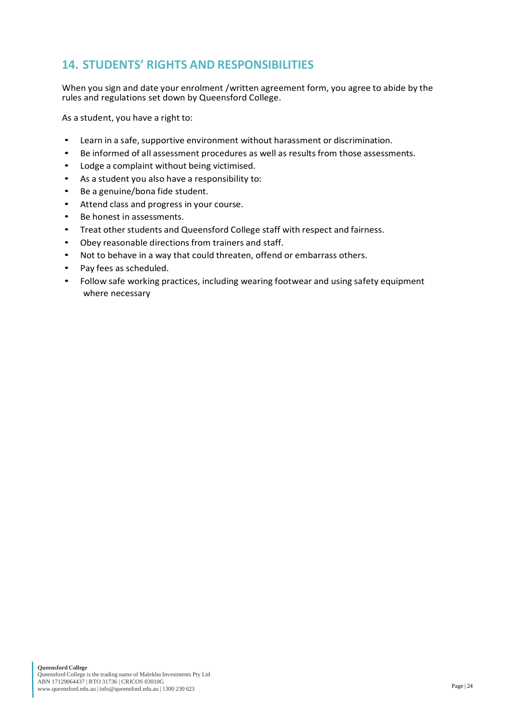# <span id="page-23-0"></span>**14. STUDENTS' RIGHTS AND RESPONSIBILITIES**

When you sign and date your enrolment /written agreement form, you agree to abide by the rules and regulations set down by Queensford College.

As a student, you have a right to:

- Learn in a safe, supportive environment without harassment or discrimination.
- Be informed of all assessment procedures as well as results from those assessments.
- Lodge a complaint without being victimised.
- As a student you also have a responsibility to:
- Be a genuine/bona fide student.
- Attend class and progress in your course.
- Be honest in assessments.
- Treat other students and Queensford College staff with respect and fairness.
- Obey reasonable directions from trainers and staff.
- Not to behave in a way that could threaten, offend or embarrass others.
- Pay fees as scheduled.
- Follow safe working practices, including wearing footwear and using safety equipment where necessary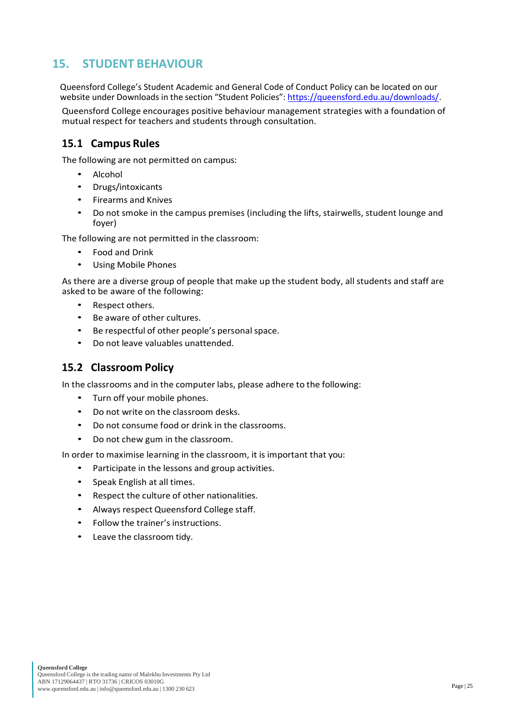# <span id="page-24-0"></span>**15. STUDENT BEHAVIOUR**

Queensford College's Student Academic and General Code of Conduct Policy can be located on our website under Downloads in the section "Student Policies": https://queensford.edu.au/downloads/.

Queensford College encourages positive behaviour management strategies with a foundation of mutual respect for teachers and students through consultation.

#### <span id="page-24-1"></span>**15.1 Campus Rules**

The following are not permitted on campus:

- Alcohol
- Drugs/intoxicants
- Firearms and Knives
- Do not smoke in the campus premises (including the lifts, stairwells, student lounge and foyer)

The following are not permitted in the classroom:

- Food and Drink
- Using Mobile Phones

As there are a diverse group of people that make up the student body, all students and staff are asked to be aware of the following:

- Respect others.
- Be aware of other cultures.
- Be respectful of other people's personalspace.
- Do not leave valuables unattended.

#### <span id="page-24-2"></span>**15.2 Classroom Policy**

In the classrooms and in the computer labs, please adhere to the following:

- Turn off your mobile phones.
- Do not write on the classroom desks.
- Do not consume food or drink in the classrooms.
- Do not chew gum in the classroom.

In order to maximise learning in the classroom, it is important that you:

- Participate in the lessons and group activities.
- Speak English at all times.
- Respect the culture of other nationalities.
- Always respect Queensford College staff.
- Follow the trainer's instructions.
- Leave the classroom tidy.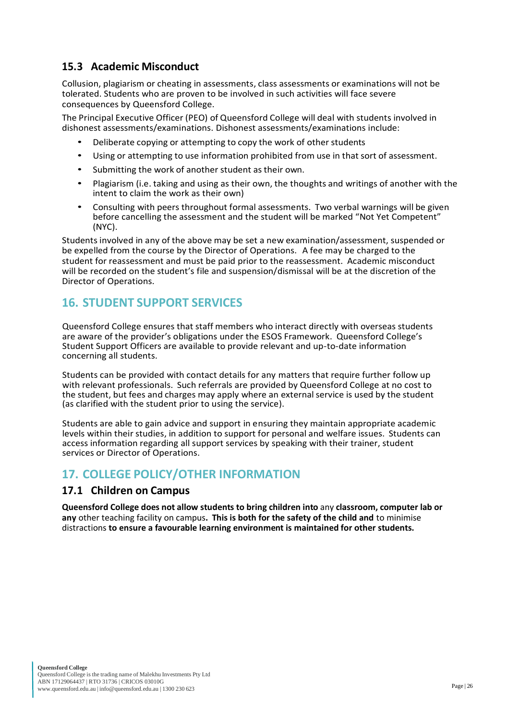## <span id="page-25-0"></span>**15.3 Academic Misconduct**

Collusion, plagiarism or cheating in assessments, class assessments or examinations will not be tolerated. Students who are proven to be involved in such activities will face severe consequences by Queensford College.

The Principal Executive Officer (PEO) of Queensford College will deal with students involved in dishonest assessments/examinations. Dishonest assessments/examinations include:

- Deliberate copying or attempting to copy the work of other students
- Using or attempting to use information prohibited from use in that sort of assessment.
- Submitting the work of another student as their own.
- Plagiarism (i.e. taking and using as their own, the thoughts and writings of another with the intent to claim the work as their own)
- Consulting with peers throughout formal assessments. Two verbal warnings will be given before cancelling the assessment and the student will be marked "Not Yet Competent" (NYC).

Students involved in any of the above may be set a new examination/assessment, suspended or be expelled from the course by the Director of Operations. A fee may be charged to the student for reassessment and must be paid prior to the reassessment. Academic misconduct will be recorded on the student's file and suspension/dismissal will be at the discretion of the Director of Operations.

# <span id="page-25-1"></span>**16. STUDENT SUPPORT SERVICES**

Queensford College ensures that staff members who interact directly with overseas students are aware of the provider's obligations under the ESOS Framework. Queensford College's Student Support Officers are available to provide relevant and up-to-date information concerning all students.

Students can be provided with contact details for any matters that require further follow up with relevant professionals. Such referrals are provided by Queensford College at no cost to the student, but fees and charges may apply where an externalservice is used by the student (as clarified with the student prior to using the service).

Students are able to gain advice and support in ensuring they maintain appropriate academic levels within their studies, in addition to support for personal and welfare issues. Students can access information regarding all support services by speaking with their trainer, student services or Director of Operations.

# <span id="page-25-2"></span>**17. COLLEGE POLICY/OTHER INFORMATION**

## <span id="page-25-3"></span>**17.1 Children on Campus**

**Queensford College does not allow students to bring children into** any **classroom, computer lab or any** other teaching facility on campus**. This is both for the safety of the child and** to minimise distractions **to ensure a favourable learning environment is maintained for other students.**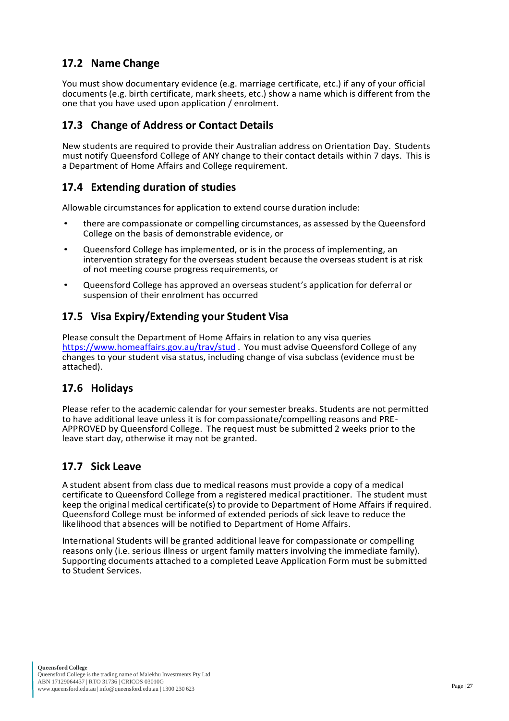# <span id="page-26-0"></span>**17.2 Name Change**

You must show documentary evidence (e.g. marriage certificate, etc.) if any of your official documents (e.g. birth certificate, mark sheets, etc.) show a name which is different from the one that you have used upon application / enrolment.

## <span id="page-26-1"></span>**17.3 Change of Address or Contact Details**

New students are required to provide their Australian address on Orientation Day. Students must notify Queensford College of ANY change to their contact details within 7 days. This is a Department of Home Affairs and College requirement.

## <span id="page-26-2"></span>**17.4 Extending duration of studies**

Allowable circumstances for application to extend course duration include:

- there are compassionate or compelling circumstances, as assessed by the Queensford College on the basis of demonstrable evidence, or
- Queensford College has implemented, or is in the process of implementing, an intervention strategy for the overseas student because the overseas student is at risk of not meeting course progress requirements, or
- Queensford College has approved an overseas student's application for deferral or suspension of their enrolment has occurred

# <span id="page-26-3"></span>**17.5 Visa Expiry/Extending your Student Visa**

Please consult the Department of Home Affairs in relation to any visa queries https:/[/www.homeaffairs.gov.au/trav/stud](http://www.homeaffairs.gov.au/trav/stud) . You must advise Queensford College of any changes to your student visa status, including change of visa subclass (evidence must be attached).

## <span id="page-26-4"></span>**17.6 Holidays**

Please refer to the academic calendar for your semester breaks. Students are not permitted to have additional leave unless it is for compassionate/compelling reasons and PRE-APPROVED by Queensford College. The request must be submitted 2 weeks prior to the leave start day, otherwise it may not be granted.

## <span id="page-26-5"></span>**17.7 Sick Leave**

A student absent from class due to medical reasons must provide a copy of a medical certificate to Queensford College from a registered medical practitioner. The student must keep the original medical certificate(s) to provide to Department of Home Affairs if required. Queensford College must be informed of extended periods of sick leave to reduce the likelihood that absences will be notified to Department of Home Affairs.

International Students will be granted additional leave for compassionate or compelling reasons only (i.e. serious illness or urgent family matters involving the immediate family). Supporting documents attached to a completed Leave Application Form must be submitted to Student Services.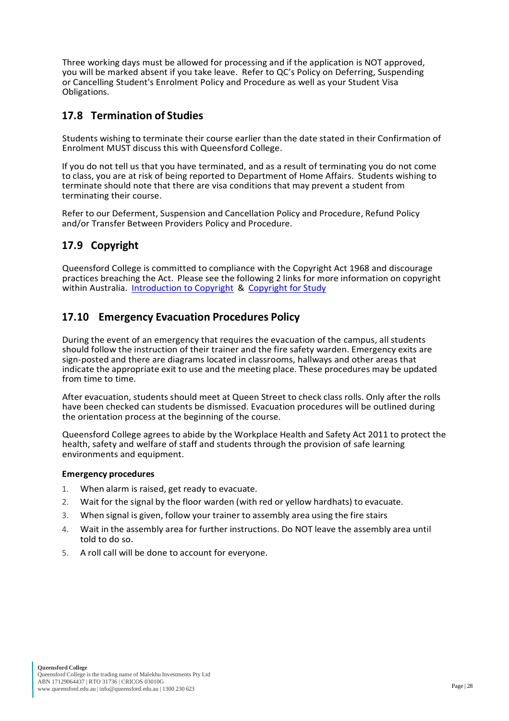Three working days must be allowed for processing and if the application is NOT approved, you will be marked absent if you take leave. Refer to QC's Policy on Deferring, Suspending or Cancelling Student's Enrolment Policy and Procedure as well as your Student Visa Obligations.

## <span id="page-27-0"></span>**17.8 Termination of Studies**

Students wishing to terminate their course earlier than the date stated in their Confirmation of Enrolment MUST discuss this with Queensford College.

If you do not tell us that you have terminated, and as a result of terminating you do not come to class, you are at risk of being reported to Department of Home Affairs. Students wishing to terminate should note that there are visa conditions that may prevent a student from terminating their course.

Refer to our Deferment, Suspension and Cancellation Policy and Procedure, Refund Policy and/or Transfer Between Providers Policy and Procedure.

# <span id="page-27-1"></span>**17.9 Copyright**

Queensford College is committed to compliance with the Copyright Act 1968 and discourage practices breaching the Act. Please see the following 2 links for more information on copyright within Australia. Introduction to Copyright & Copyright for Study

## <span id="page-27-2"></span>**17.10 Emergency Evacuation Procedures Policy**

During the event of an emergency that requires the evacuation of the campus, all students should follow the instruction of their trainer and the fire safety warden. Emergency exits are sign-posted and there are diagrams located in classrooms, hallways and other areas that indicate the appropriate exit to use and the meeting place. These procedures may be updated from time to time.

After evacuation, students should meet at Queen Street to check class rolls. Only after the rolls have been checked can students be dismissed. Evacuation procedures will be outlined during the orientation process at the beginning of the course.

Queensford College agrees to abide by the Workplace Health and Safety Act 2011 to protect the health, safety and welfare of staff and students through the provision of safe learning environments and equipment.

#### **Emergency procedures**

- 1. When alarm is raised, get ready to evacuate.
- 2. Wait for the signal by the floor warden (with red or yellow hardhats) to evacuate.
- 3. When signal is given, follow your trainer to assembly area using the fire stairs
- 4. Wait in the assembly area for further instructions. Do NOT leave the assembly area until told to do so.
- 5. A roll call will be done to account for everyone.